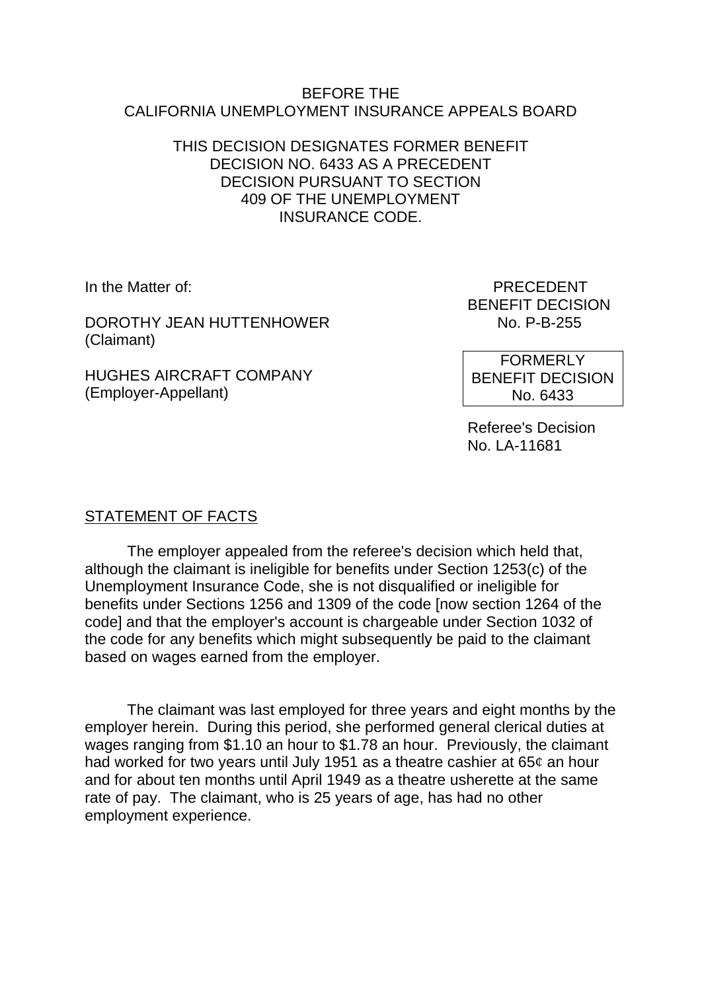#### BEFORE THE CALIFORNIA UNEMPLOYMENT INSURANCE APPEALS BOARD

### THIS DECISION DESIGNATES FORMER BENEFIT DECISION NO. 6433 AS A PRECEDENT DECISION PURSUANT TO SECTION 409 OF THE UNEMPLOYMENT INSURANCE CODE.

DOROTHY JEAN HUTTENHOWER NO. P-B-255 (Claimant)

HUGHES AIRCRAFT COMPANY (Employer-Appellant)

In the Matter of: PRECEDENT BENEFIT DECISION

> FORMERLY BENEFIT DECISION No. 6433

Referee's Decision No. LA-11681

# STATEMENT OF FACTS

The employer appealed from the referee's decision which held that, although the claimant is ineligible for benefits under Section 1253(c) of the Unemployment Insurance Code, she is not disqualified or ineligible for benefits under Sections 1256 and 1309 of the code [now section 1264 of the code] and that the employer's account is chargeable under Section 1032 of the code for any benefits which might subsequently be paid to the claimant based on wages earned from the employer.

The claimant was last employed for three years and eight months by the employer herein. During this period, she performed general clerical duties at wages ranging from \$1.10 an hour to \$1.78 an hour. Previously, the claimant had worked for two years until July 1951 as a theatre cashier at  $65¢$  an hour and for about ten months until April 1949 as a theatre usherette at the same rate of pay. The claimant, who is 25 years of age, has had no other employment experience.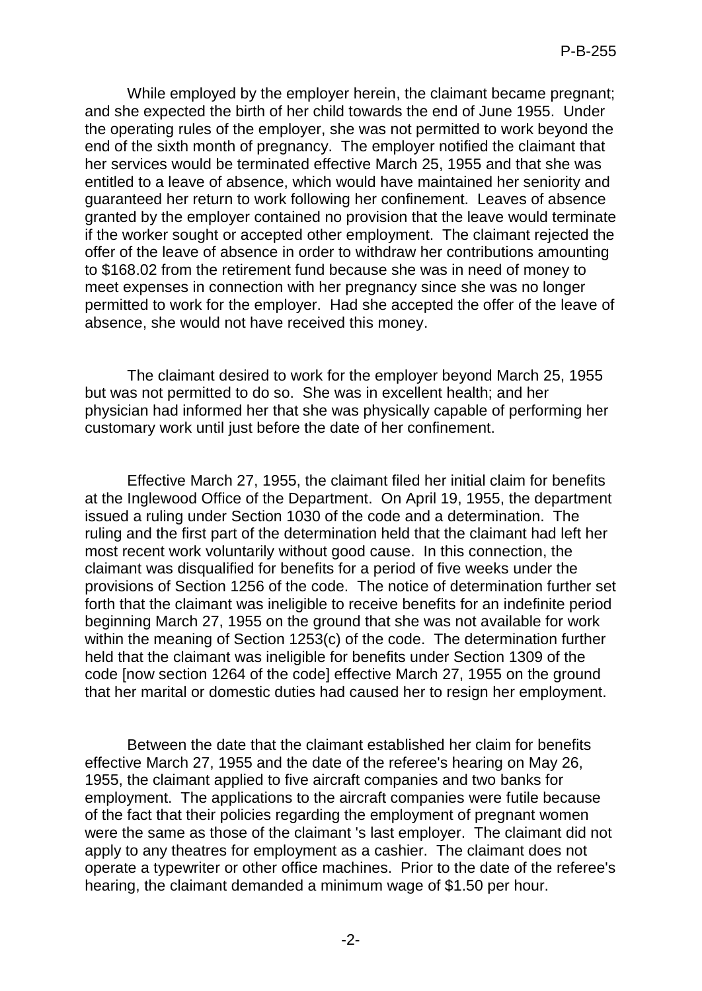While employed by the employer herein, the claimant became pregnant; and she expected the birth of her child towards the end of June 1955. Under the operating rules of the employer, she was not permitted to work beyond the end of the sixth month of pregnancy. The employer notified the claimant that her services would be terminated effective March 25, 1955 and that she was entitled to a leave of absence, which would have maintained her seniority and guaranteed her return to work following her confinement. Leaves of absence granted by the employer contained no provision that the leave would terminate if the worker sought or accepted other employment. The claimant rejected the offer of the leave of absence in order to withdraw her contributions amounting to \$168.02 from the retirement fund because she was in need of money to meet expenses in connection with her pregnancy since she was no longer permitted to work for the employer. Had she accepted the offer of the leave of absence, she would not have received this money.

The claimant desired to work for the employer beyond March 25, 1955 but was not permitted to do so. She was in excellent health; and her physician had informed her that she was physically capable of performing her customary work until just before the date of her confinement.

Effective March 27, 1955, the claimant filed her initial claim for benefits at the Inglewood Office of the Department. On April 19, 1955, the department issued a ruling under Section 1030 of the code and a determination. The ruling and the first part of the determination held that the claimant had left her most recent work voluntarily without good cause. In this connection, the claimant was disqualified for benefits for a period of five weeks under the provisions of Section 1256 of the code. The notice of determination further set forth that the claimant was ineligible to receive benefits for an indefinite period beginning March 27, 1955 on the ground that she was not available for work within the meaning of Section 1253(c) of the code. The determination further held that the claimant was ineligible for benefits under Section 1309 of the code [now section 1264 of the code] effective March 27, 1955 on the ground that her marital or domestic duties had caused her to resign her employment.

Between the date that the claimant established her claim for benefits effective March 27, 1955 and the date of the referee's hearing on May 26, 1955, the claimant applied to five aircraft companies and two banks for employment. The applications to the aircraft companies were futile because of the fact that their policies regarding the employment of pregnant women were the same as those of the claimant 's last employer. The claimant did not apply to any theatres for employment as a cashier. The claimant does not operate a typewriter or other office machines. Prior to the date of the referee's hearing, the claimant demanded a minimum wage of \$1.50 per hour.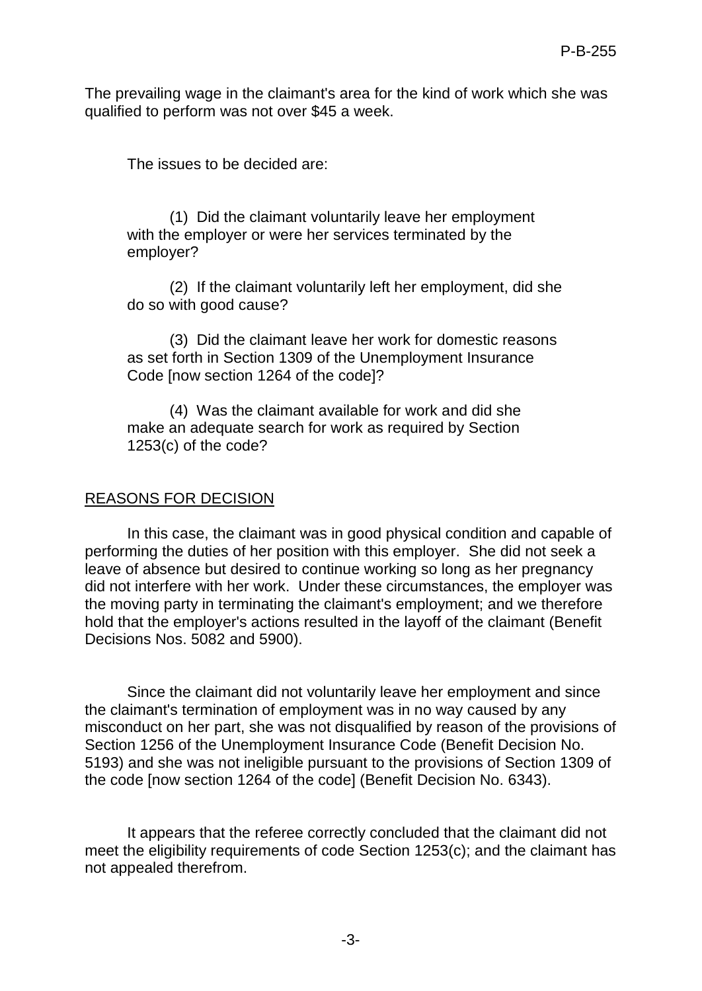The prevailing wage in the claimant's area for the kind of work which she was qualified to perform was not over \$45 a week.

The issues to be decided are:

(1) Did the claimant voluntarily leave her employment with the employer or were her services terminated by the employer?

(2) If the claimant voluntarily left her employment, did she do so with good cause?

(3) Did the claimant leave her work for domestic reasons as set forth in Section 1309 of the Unemployment Insurance Code [now section 1264 of the code]?

(4) Was the claimant available for work and did she make an adequate search for work as required by Section 1253(c) of the code?

### REASONS FOR DECISION

In this case, the claimant was in good physical condition and capable of performing the duties of her position with this employer. She did not seek a leave of absence but desired to continue working so long as her pregnancy did not interfere with her work. Under these circumstances, the employer was the moving party in terminating the claimant's employment; and we therefore hold that the employer's actions resulted in the layoff of the claimant (Benefit Decisions Nos. 5082 and 5900).

Since the claimant did not voluntarily leave her employment and since the claimant's termination of employment was in no way caused by any misconduct on her part, she was not disqualified by reason of the provisions of Section 1256 of the Unemployment Insurance Code (Benefit Decision No. 5193) and she was not ineligible pursuant to the provisions of Section 1309 of the code [now section 1264 of the code] (Benefit Decision No. 6343).

It appears that the referee correctly concluded that the claimant did not meet the eligibility requirements of code Section 1253(c); and the claimant has not appealed therefrom.